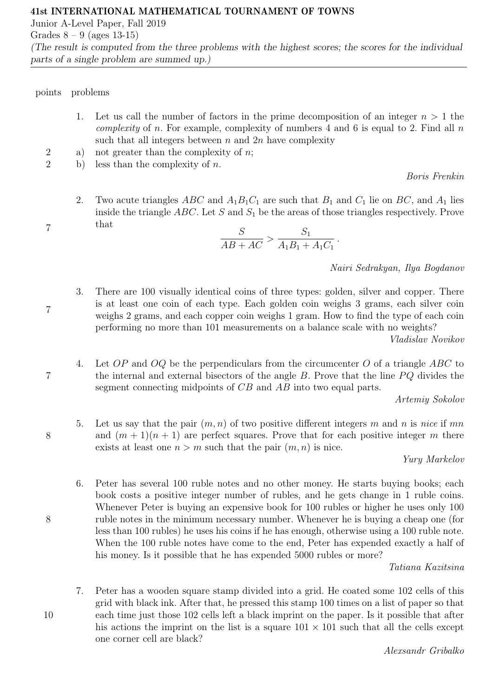Junior A-Level Paper, Fall 2019

Grades  $8 - 9$  (ages 13-15)

(The result is computed from the three problems with the highest scores; the scores for the individual parts of a single problem are summed up.)

points problems

7

7

7

8

8

- 1. Let us call the number of factors in the prime decomposition of an integer  $n > 1$  the *complexity* of *n*. For example, complexity of numbers 4 and 6 is equal to 2. Find all  $n$ such that all integers between  $n$  and  $2n$  have complexity
- 2 a) not greater than the complexity of  $n$ ;
- 2 b) less than the complexity of n.

Boris Frenkin

2. Two acute triangles ABC and  $A_1B_1C_1$  are such that  $B_1$  and  $C_1$  lie on BC, and  $A_1$  lies inside the triangle  $ABC$ . Let S and  $S_1$  be the areas of those triangles respectively. Prove that

$$
\frac{S}{AB + AC} > \frac{S_1}{A_1B_1 + A_1C_1}.
$$

Nairi Sedrakyan, Ilya Bogdanov

3. There are 100 visually identical coins of three types: golden, silver and copper. There is at least one coin of each type. Each golden coin weighs 3 grams, each silver coin weighs 2 grams, and each copper coin weighs 1 gram. How to find the type of each coin performing no more than 101 measurements on a balance scale with no weights?

Vladislav Novikov

4. Let  $OP$  and  $OQ$  be the perpendiculars from the circumcenter  $O$  of a triangle  $ABC$  to the internal and external bisectors of the angle  $B$ . Prove that the line  $PQ$  divides the segment connecting midpoints of CB and AB into two equal parts.

Artemiy Sokolov

5. Let us say that the pair  $(m, n)$  of two positive different integers m and n is nice if mn and  $(m + 1)(n + 1)$  are perfect squares. Prove that for each positive integer m there exists at least one  $n > m$  such that the pair  $(m, n)$  is nice.

## Yury Markelov

6. Peter has several 100 ruble notes and no other money. He starts buying books; each book costs a positive integer number of rubles, and he gets change in 1 ruble coins. Whenever Peter is buying an expensive book for 100 rubles or higher he uses only 100 ruble notes in the minimum necessary number. Whenever he is buying a cheap one (for less than 100 rubles) he uses his coins if he has enough, otherwise using a 100 ruble note. When the 100 ruble notes have come to the end, Peter has expended exactly a half of his money. Is it possible that he has expended 5000 rubles or more?

Tatiana Kazitsina

7. Peter has a wooden square stamp divided into a grid. He coated some 102 cells of this grid with black ink. After that, he pressed this stamp 100 times on a list of paper so that each time just those 102 cells left a black imprint on the paper. Is it possible that after his actions the imprint on the list is a square  $101 \times 101$  such that all the cells except one corner cell are black?

Alexsandr Gribalko

10